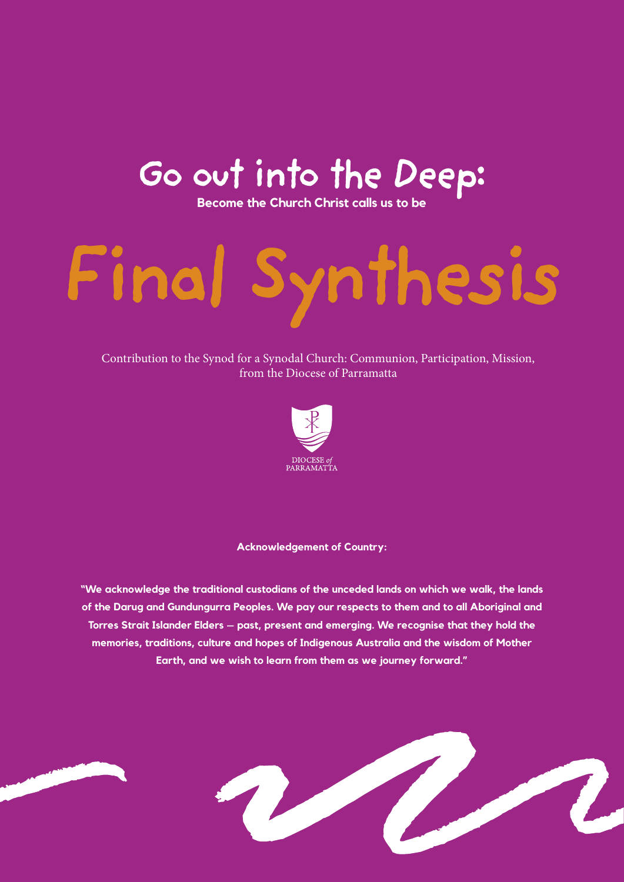# **Go out into the Deep: Become the Church Christ calls us to be**

# **Final Synthesis**

Contribution to the Synod for a Synodal Church: Communion, Participation, Mission, from the Diocese of Parramatta



#### **Acknowledgement of Country:**

**"We acknowledge the traditional custodians of the unceded lands on which we walk, the lands of the Darug and Gundungurra Peoples. We pay our respects to them and to all Aboriginal and Torres Strait Islander Elders – past, present and emerging. We recognise that they hold the memories, traditions, culture and hopes of Indigenous Australia and the wisdom of Mother Earth, and we wish to learn from them as we journey forward."**

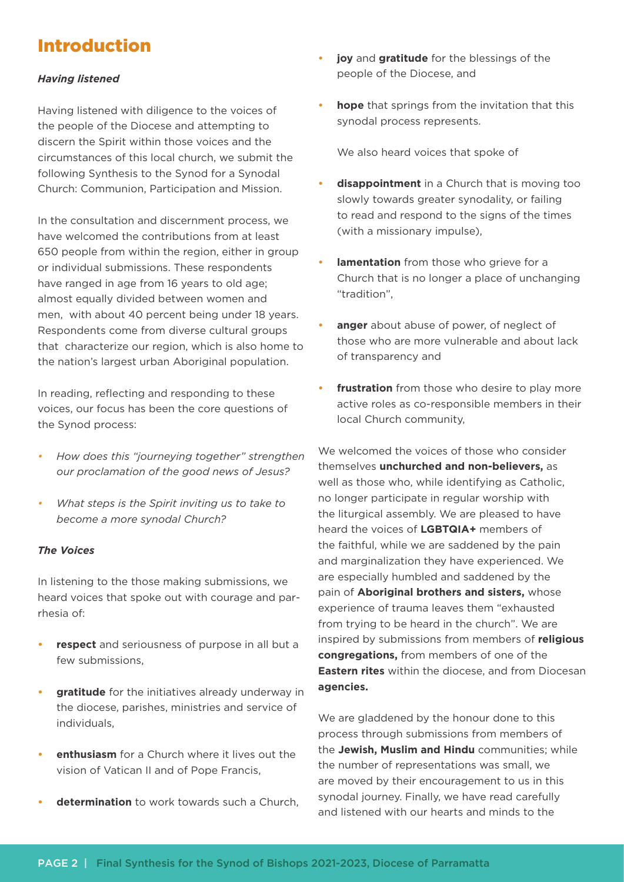# Introduction

#### *Having listened*

Having listened with diligence to the voices of the people of the Diocese and attempting to discern the Spirit within those voices and the circumstances of this local church, we submit the following Synthesis to the Synod for a Synodal Church: Communion, Participation and Mission.

In the consultation and discernment process, we have welcomed the contributions from at least 650 people from within the region, either in group or individual submissions. These respondents have ranged in age from 16 years to old age; almost equally divided between women and men, with about 40 percent being under 18 years. Respondents come from diverse cultural groups that characterize our region, which is also home to the nation's largest urban Aboriginal population.

In reading, reflecting and responding to these voices, our focus has been the core questions of the Synod process:

- *• How does this "journeying together" strengthen our proclamation of the good news of Jesus?*
- *• What steps is the Spirit inviting us to take to become a more synodal Church?*

#### *The Voices*

In listening to the those making submissions, we heard voices that spoke out with courage and parrhesia of:

- **• respect** and seriousness of purpose in all but a few submissions,
- **• gratitude** for the initiatives already underway in the diocese, parishes, ministries and service of individuals,
- **• enthusiasm** for a Church where it lives out the vision of Vatican II and of Pope Francis,
- **• determination** to work towards such a Church,
- **• joy** and **gratitude** for the blessings of the people of the Diocese, and
- **• hope** that springs from the invitation that this synodal process represents.

We also heard voices that spoke of

- **disappointment** in a Church that is moving too slowly towards greater synodality, or failing to read and respond to the signs of the times (with a missionary impulse),
- **lamentation** from those who grieve for a Church that is no longer a place of unchanging "tradition",
- **• anger** about abuse of power, of neglect of those who are more vulnerable and about lack of transparency and
- **frustration** from those who desire to play more active roles as co-responsible members in their local Church community,

We welcomed the voices of those who consider themselves **unchurched and non-believers,** as well as those who, while identifying as Catholic, no longer participate in regular worship with the liturgical assembly. We are pleased to have heard the voices of **LGBTQIA+** members of the faithful, while we are saddened by the pain and marginalization they have experienced. We are especially humbled and saddened by the pain of **Aboriginal brothers and sisters,** whose experience of trauma leaves them "exhausted from trying to be heard in the church". We are inspired by submissions from members of **religious congregations,** from members of one of the **Eastern rites** within the diocese, and from Diocesan **agencies.**

We are gladdened by the honour done to this process through submissions from members of the **Jewish, Muslim and Hindu** communities; while the number of representations was small, we are moved by their encouragement to us in this synodal journey. Finally, we have read carefully and listened with our hearts and minds to the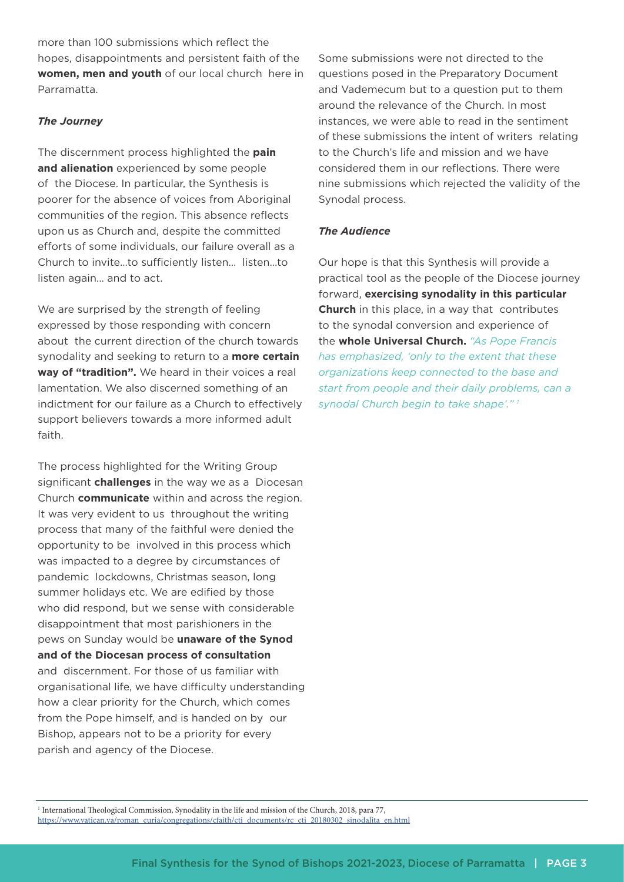more than 100 submissions which reflect the hopes, disappointments and persistent faith of the **women, men and youth** of our local church here in Parramatta.

#### *The Journey*

The discernment process highlighted the **pain and alienation** experienced by some people of the Diocese. In particular, the Synthesis is poorer for the absence of voices from Aboriginal communities of the region. This absence reflects upon us as Church and, despite the committed efforts of some individuals, our failure overall as a Church to invite…to sufficiently listen… listen…to listen again… and to act.

We are surprised by the strength of feeling expressed by those responding with concern about the current direction of the church towards synodality and seeking to return to a **more certain way of "tradition".** We heard in their voices a real lamentation. We also discerned something of an indictment for our failure as a Church to effectively support believers towards a more informed adult faith.

The process highlighted for the Writing Group significant **challenges** in the way we as a Diocesan Church **communicate** within and across the region. It was very evident to us throughout the writing process that many of the faithful were denied the opportunity to be involved in this process which was impacted to a degree by circumstances of pandemic lockdowns, Christmas season, long summer holidays etc. We are edified by those who did respond, but we sense with considerable disappointment that most parishioners in the pews on Sunday would be **unaware of the Synod and of the Diocesan process of consultation** and discernment. For those of us familiar with organisational life, we have difficulty understanding how a clear priority for the Church, which comes from the Pope himself, and is handed on by our Bishop, appears not to be a priority for every parish and agency of the Diocese.

Some submissions were not directed to the questions posed in the Preparatory Document and Vademecum but to a question put to them around the relevance of the Church. In most instances, we were able to read in the sentiment of these submissions the intent of writers relating to the Church's life and mission and we have considered them in our reflections. There were nine submissions which rejected the validity of the Synodal process.

#### *The Audience*

Our hope is that this Synthesis will provide a practical tool as the people of the Diocese journey forward, **exercising synodality in this particular Church** in this place, in a way that contributes to the synodal conversion and experience of the **whole Universal Church.** *"As Pope Francis has emphasized, 'only to the extent that these organizations keep connected to the base and start from people and their daily problems, can a synodal Church begin to take shape'." 1*

1 International Theological Commission, Synodality in the life and mission of the Church, 2018, para 77, https://www.vatican.va/roman\_curia/congregations/cfaith/cti\_documents/rc\_cti\_20180302\_sinodalita\_en.html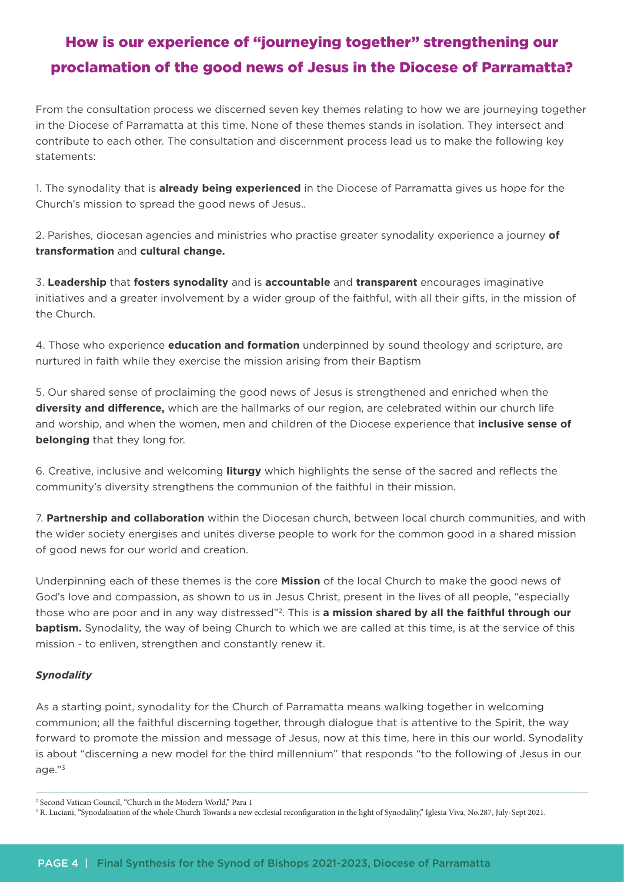# How is our experience of "journeying together" strengthening our proclamation of the good news of Jesus in the Diocese of Parramatta?

From the consultation process we discerned seven key themes relating to how we are journeying together in the Diocese of Parramatta at this time. None of these themes stands in isolation. They intersect and contribute to each other. The consultation and discernment process lead us to make the following key statements:

1. The synodality that is **already being experienced** in the Diocese of Parramatta gives us hope for the Church's mission to spread the good news of Jesus..

2. Parishes, diocesan agencies and ministries who practise greater synodality experience a journey **of transformation** and **cultural change.**

3. **Leadership** that **fosters synodality** and is **accountable** and **transparent** encourages imaginative initiatives and a greater involvement by a wider group of the faithful, with all their gifts, in the mission of the Church.

4. Those who experience **education and formation** underpinned by sound theology and scripture, are nurtured in faith while they exercise the mission arising from their Baptism

5. Our shared sense of proclaiming the good news of Jesus is strengthened and enriched when the **diversity and difference,** which are the hallmarks of our region, are celebrated within our church life and worship, and when the women, men and children of the Diocese experience that **inclusive sense of belonging** that they long for.

6. Creative, inclusive and welcoming **liturgy** which highlights the sense of the sacred and reflects the community's diversity strengthens the communion of the faithful in their mission.

7. **Partnership and collaboration** within the Diocesan church, between local church communities, and with the wider society energises and unites diverse people to work for the common good in a shared mission of good news for our world and creation.

Underpinning each of these themes is the core **Mission** of the local Church to make the good news of God's love and compassion, as shown to us in Jesus Christ, present in the lives of all people, "especially those who are poor and in any way distressed"2. This is **a mission shared by all the faithful through our baptism.** Synodality, the way of being Church to which we are called at this time, is at the service of this mission - to enliven, strengthen and constantly renew it.

#### *Synodality*

As a starting point, synodality for the Church of Parramatta means walking together in welcoming communion; all the faithful discerning together, through dialogue that is attentive to the Spirit, the way forward to promote the mission and message of Jesus, now at this time, here in this our world. Synodality is about "discerning a new model for the third millennium" that responds "to the following of Jesus in our age."3

<sup>2</sup> Second Vatican Council, "Church in the Modern World," Para 1

<sup>&</sup>lt;sup>3</sup> R. Luciani, "Synodalisation of the whole Church Towards a new ecclesial reconfiguration in the light of Synodality," Iglesia Viva, No.287, July-Sept 2021.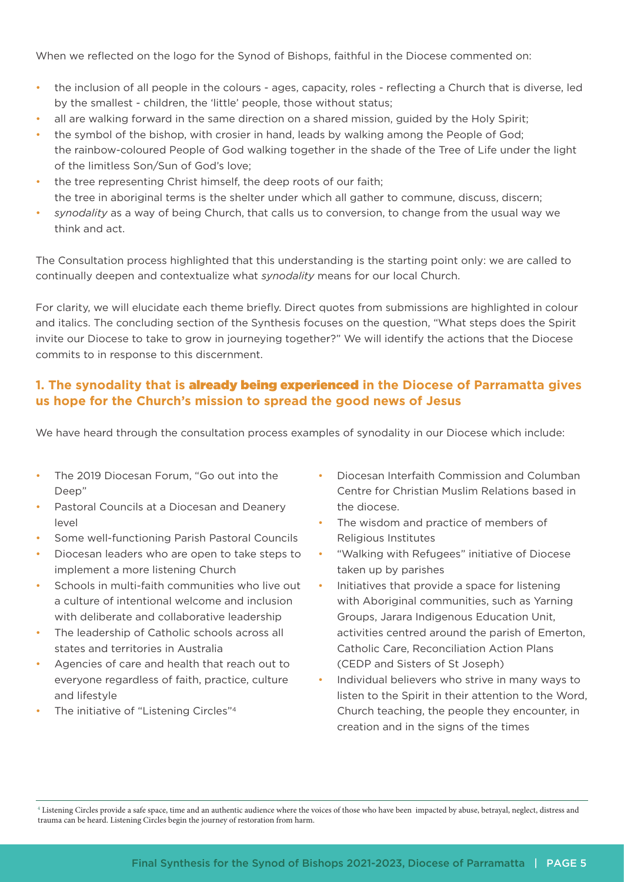When we reflected on the logo for the Synod of Bishops, faithful in the Diocese commented on:

- the inclusion of all people in the colours ages, capacity, roles reflecting a Church that is diverse, led by the smallest - children, the 'little' people, those without status;
- all are walking forward in the same direction on a shared mission, guided by the Holy Spirit;
- the symbol of the bishop, with crosier in hand, leads by walking among the People of God; the rainbow-coloured People of God walking together in the shade of the Tree of Life under the light of the limitless Son/Sun of God's love;
- the tree representing Christ himself, the deep roots of our faith; the tree in aboriginal terms is the shelter under which all gather to commune, discuss, discern;
- *synodality* as a way of being Church, that calls us to conversion, to change from the usual way we think and act.

The Consultation process highlighted that this understanding is the starting point only: we are called to continually deepen and contextualize what *synodality* means for our local Church.

For clarity, we will elucidate each theme briefly. Direct quotes from submissions are highlighted in colour and italics. The concluding section of the Synthesis focuses on the question, "What steps does the Spirit invite our Diocese to take to grow in journeying together?" We will identify the actions that the Diocese commits to in response to this discernment.

## **1. The synodality that is** already being experienced **in the Diocese of Parramatta gives us hope for the Church's mission to spread the good news of Jesus**

We have heard through the consultation process examples of synodality in our Diocese which include:

- The 2019 Diocesan Forum, "Go out into the Deep"
- Pastoral Councils at a Diocesan and Deanery level
- Some well-functioning Parish Pastoral Councils
- Diocesan leaders who are open to take steps to implement a more listening Church
- Schools in multi-faith communities who live out a culture of intentional welcome and inclusion with deliberate and collaborative leadership
- The leadership of Catholic schools across all states and territories in Australia
- Agencies of care and health that reach out to everyone regardless of faith, practice, culture and lifestyle
- The initiative of "Listening Circles"<sup>4</sup>
- Diocesan Interfaith Commission and Columban Centre for Christian Muslim Relations based in the diocese.
- The wisdom and practice of members of Religious Institutes
- "Walking with Refugees" initiative of Diocese taken up by parishes
- Initiatives that provide a space for listening with Aboriginal communities, such as Yarning Groups, Jarara Indigenous Education Unit, activities centred around the parish of Emerton, Catholic Care, Reconciliation Action Plans (CEDP and Sisters of St Joseph)
- Individual believers who strive in many ways to listen to the Spirit in their attention to the Word, Church teaching, the people they encounter, in creation and in the signs of the times

4 Listening Circles provide a safe space, time and an authentic audience where the voices of those who have been impacted by abuse, betrayal, neglect, distress and trauma can be heard. Listening Circles begin the journey of restoration from harm.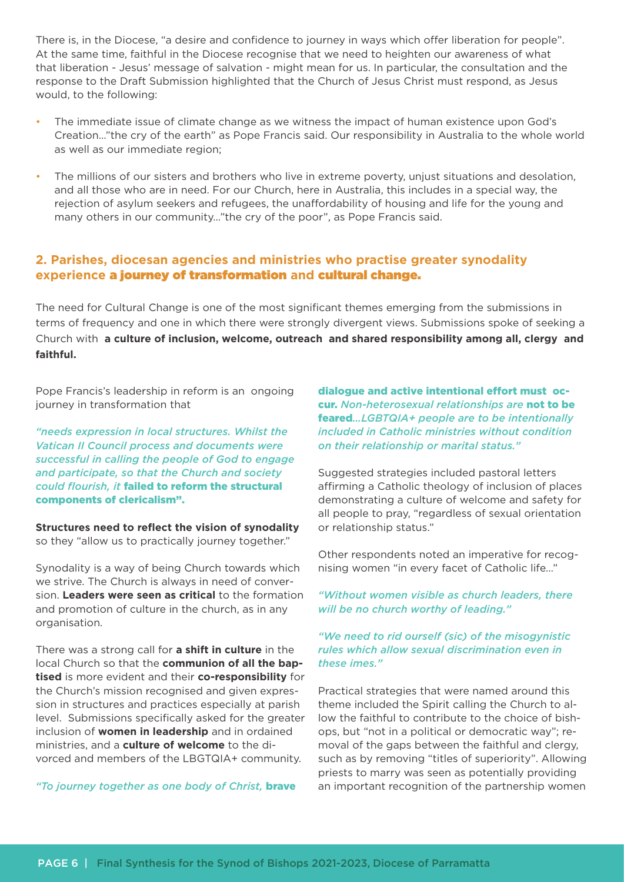There is, in the Diocese, "a desire and confidence to journey in ways which offer liberation for people". At the same time, faithful in the Diocese recognise that we need to heighten our awareness of what that liberation - Jesus' message of salvation - might mean for us. In particular, the consultation and the response to the Draft Submission highlighted that the Church of Jesus Christ must respond, as Jesus would, to the following:

- The immediate issue of climate change as we witness the impact of human existence upon God's Creation…"the cry of the earth" as Pope Francis said. Our responsibility in Australia to the whole world as well as our immediate region;
- The millions of our sisters and brothers who live in extreme poverty, unjust situations and desolation, and all those who are in need. For our Church, here in Australia, this includes in a special way, the rejection of asylum seekers and refugees, the unaffordability of housing and life for the young and many others in our community…"the cry of the poor", as Pope Francis said.

#### **2. Parishes, diocesan agencies and ministries who practise greater synodality experience** a journey of transformation **and** cultural change.

The need for Cultural Change is one of the most significant themes emerging from the submissions in terms of frequency and one in which there were strongly divergent views. Submissions spoke of seeking a Church with **a culture of inclusion, welcome, outreach and shared responsibility among all, clergy and faithful.**

Pope Francis's leadership in reform is an ongoing journey in transformation that

*"needs expression in local structures. Whilst the Vatican II Council process and documents were successful in calling the people of God to engage and participate, so that the Church and society could flourish, it* failed to reform the structural components of clericalism".

**Structures need to reflect the vision of synodality** so they "allow us to practically journey together."

Synodality is a way of being Church towards which we strive. The Church is always in need of conversion. **Leaders were seen as critical** to the formation and promotion of culture in the church, as in any organisation.

There was a strong call for **a shift in culture** in the local Church so that the **communion of all the baptised** is more evident and their **co-responsibility** for the Church's mission recognised and given expression in structures and practices especially at parish level. Submissions specifically asked for the greater inclusion of **women in leadership** and in ordained ministries, and a **culture of welcome** to the divorced and members of the LBGTQIA+ community.

*"To journey together as one body of Christ,* brave

dialogue and active intentional effort must occur. *Non-heterosexual relationships are* not to be feared*…LGBTQIA+ people are to be intentionally included in Catholic ministries without condition on their relationship or marital status."* 

Suggested strategies included pastoral letters affirming a Catholic theology of inclusion of places demonstrating a culture of welcome and safety for all people to pray, "regardless of sexual orientation or relationship status."

Other respondents noted an imperative for recognising women "in every facet of Catholic life…"

*"Without women visible as church leaders, there will be no church worthy of leading."* 

#### *"We need to rid ourself (sic) of the misogynistic rules which allow sexual discrimination even in these imes."*

Practical strategies that were named around this theme included the Spirit calling the Church to allow the faithful to contribute to the choice of bishops, but "not in a political or democratic way"; removal of the gaps between the faithful and clergy, such as by removing "titles of superiority". Allowing priests to marry was seen as potentially providing an important recognition of the partnership women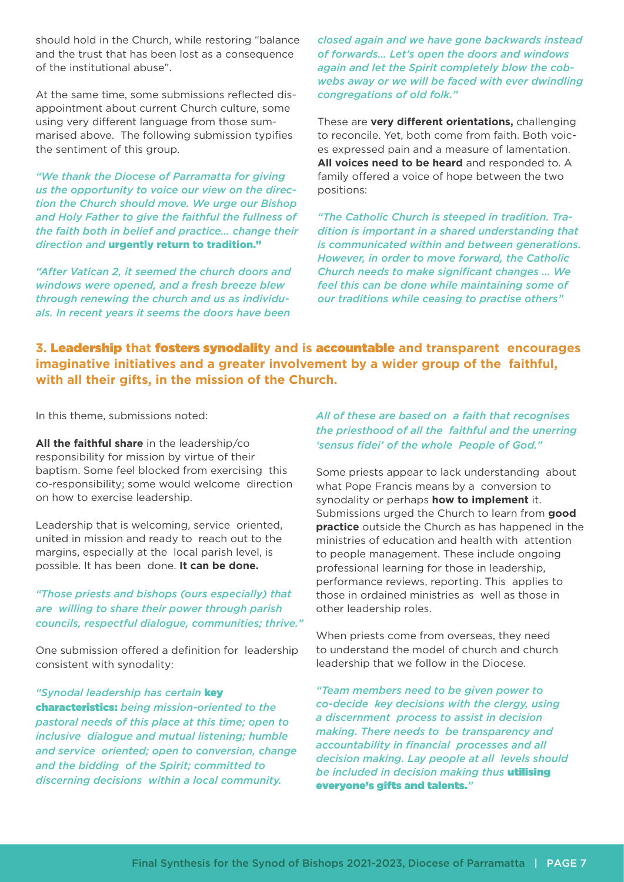should hold in the Church, while restoring "balance and the trust that has been lost as a consequence of the institutional abuse".

At the same time, some submissions reflected disappointment about current Church culture, some using very different language from those summarised above. The following submission typifies the sentiment of this group.

*"We thank the Diocese of Parramatta for giving us the opportunity to voice our view on the direction the Church should move. We urge our Bishop and Holy Father to give the faithful the fullness of the faith both in belief and practice… change their direction and* urgently return to tradition."

*"After Vatican 2, it seemed the church doors and windows were opened, and a fresh breeze blew through renewing the church and us as individuals. In recent years it seems the doors have been* 

*closed again and we have gone backwards instead of forwards… Let's open the doors and windows again and let the Spirit completely blow the cobwebs away or we will be faced with ever dwindling congregations of old folk."*

These are **very different orientations,** challenging to reconcile. Yet, both come from faith. Both voices expressed pain and a measure of lamentation. **All voices need to be heard** and responded to. A family offered a voice of hope between the two positions:

*"The Catholic Church is steeped in tradition. Tradition is important in a shared understanding that is communicated within and between generations. However, in order to move forward, the Catholic Church needs to make significant changes … We feel this can be done while maintaining some of our traditions while ceasing to practise others"*

**3.** Leadership **that** fosters synodalit**y and is** accountable **and transparent encourages imaginative initiatives and a greater involvement by a wider group of the faithful, with all their gifts, in the mission of the Church.**

In this theme, submissions noted:

**All the faithful share** in the leadership/co responsibility for mission by virtue of their baptism. Some feel blocked from exercising this co-responsibility; some would welcome direction on how to exercise leadership.

Leadership that is welcoming, service oriented, united in mission and ready to reach out to the margins, especially at the local parish level, is possible. It has been done. **It can be done.**

*"Those priests and bishops (ours especially) that are willing to share their power through parish councils, respectful dialogue, communities; thrive."*

One submission offered a definition for leadership consistent with synodality:

*"Synodal leadership has certain* key characteristics: *being mission-oriented to the pastoral needs of this place at this time; open to inclusive dialogue and mutual listening; humble and service oriented; open to conversion, change and the bidding of the Spirit; committed to discerning decisions within a local community.* 

*All of these are based on a faith that recognises the priesthood of all the faithful and the unerring 'sensus fidei' of the whole People of God."*

Some priests appear to lack understanding about what Pope Francis means by a conversion to synodality or perhaps **how to implement** it. Submissions urged the Church to learn from **good practice** outside the Church as has happened in the ministries of education and health with attention to people management. These include ongoing professional learning for those in leadership, performance reviews, reporting. This applies to those in ordained ministries as well as those in other leadership roles.

When priests come from overseas, they need to understand the model of church and church leadership that we follow in the Diocese.

*"Team members need to be given power to co-decide key decisions with the clergy, using a discernment process to assist in decision making. There needs to be transparency and accountability in financial processes and all decision making. Lay people at all levels should be included in decision making thus* utilising everyone's gifts and talents.*"*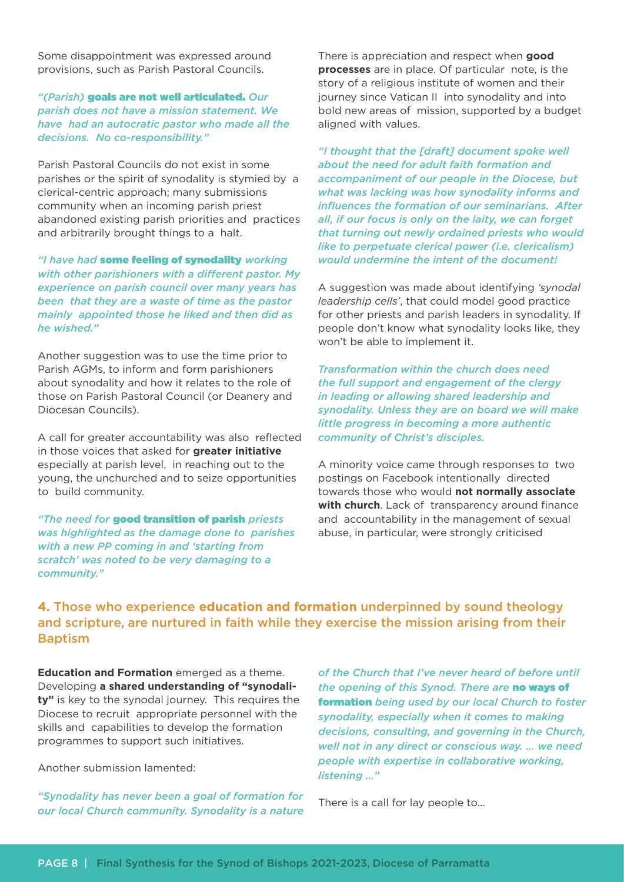Some disappointment was expressed around provisions, such as Parish Pastoral Councils.

*"(Parish)* goals are not well articulated. *Our parish does not have a mission statement. We have had an autocratic pastor who made all the decisions. No co-responsibility."* 

Parish Pastoral Councils do not exist in some parishes or the spirit of synodality is stymied by a clerical-centric approach; many submissions community when an incoming parish priest abandoned existing parish priorities and practices and arbitrarily brought things to a halt.

*"I have had* some feeling of synodality *working with other parishioners with a different pastor. My experience on parish council over many years has been that they are a waste of time as the pastor mainly appointed those he liked and then did as he wished."* 

Another suggestion was to use the time prior to Parish AGMs, to inform and form parishioners about synodality and how it relates to the role of those on Parish Pastoral Council (or Deanery and Diocesan Councils).

A call for greater accountability was also reflected in those voices that asked for **greater initiative** especially at parish level, in reaching out to the young, the unchurched and to seize opportunities to build community.

*"The need for* good transition of parish *priests was highlighted as the damage done to parishes with a new PP coming in and 'starting from scratch' was noted to be very damaging to a community."*

There is appreciation and respect when **good processes** are in place. Of particular note, is the story of a religious institute of women and their journey since Vatican II into synodality and into bold new areas of mission, supported by a budget aligned with values.

*"I thought that the [draft] document spoke well about the need for adult faith formation and accompaniment of our people in the Diocese, but what was lacking was how synodality informs and influences the formation of our seminarians. After all, if our focus is only on the laity, we can forget that turning out newly ordained priests who would like to perpetuate clerical power (i.e. clericalism) would undermine the intent of the document!*

A suggestion was made about identifying *'synodal leadership cells'*, that could model good practice for other priests and parish leaders in synodality. If people don't know what synodality looks like, they won't be able to implement it.

*Transformation within the church does need the full support and engagement of the clergy in leading or allowing shared leadership and synodality. Unless they are on board we will make little progress in becoming a more authentic community of Christ's disciples.* 

A minority voice came through responses to two postings on Facebook intentionally directed towards those who would **not normally associate with church**. Lack of transparency around finance and accountability in the management of sexual abuse, in particular, were strongly criticised

### **4.** Those who experience **education and formation** underpinned by sound theology and scripture, are nurtured in faith while they exercise the mission arising from their Baptism

**Education and Formation** emerged as a theme. Developing **a shared understanding of "synodality"** is key to the synodal journey. This requires the Diocese to recruit appropriate personnel with the skills and capabilities to develop the formation programmes to support such initiatives.

Another submission lamented:

*"Synodality has never been a goal of formation for our local Church community. Synodality is a nature* 

*of the Church that I've never heard of before until the opening of this Synod. There are* no ways of formation *being used by our local Church to foster synodality, especially when it comes to making decisions, consulting, and governing in the Church, well not in any direct or conscious way. … we need people with expertise in collaborative working, listening …"*

There is a call for lay people to...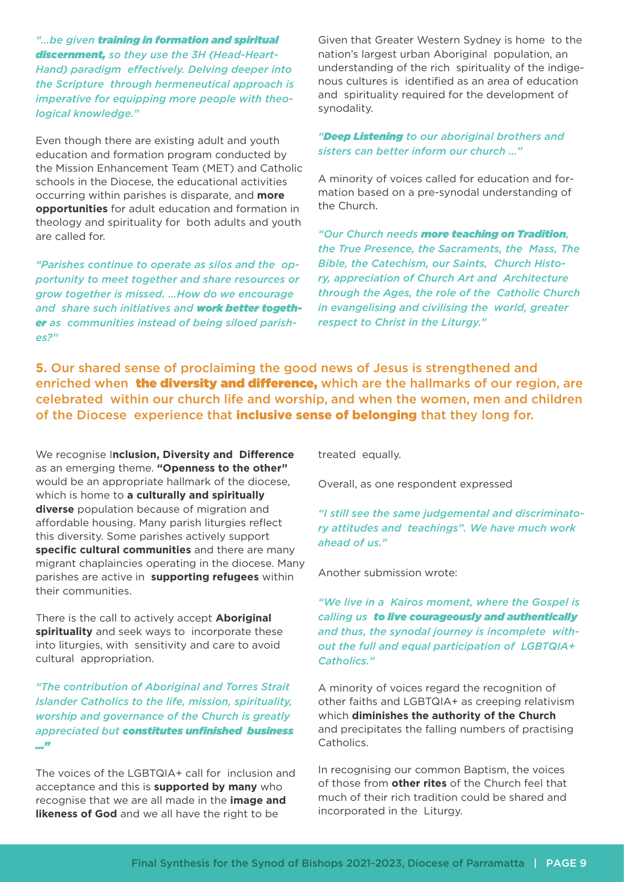*"…be given training in formation and spiritual discernment, so they use the 3H (Head-Heart-Hand) paradigm effectively. Delving deeper into the Scripture through hermeneutical approach is imperative for equipping more people with theological knowledge."*

Even though there are existing adult and youth education and formation program conducted by the Mission Enhancement Team (MET) and Catholic schools in the Diocese, the educational activities occurring within parishes is disparate, and **more opportunities** for adult education and formation in theology and spirituality for both adults and youth are called for.

*"Parishes continue to operate as silos and the opportunity to meet together and share resources or grow together is missed. …How do we encourage and share such initiatives and work better together as communities instead of being siloed parishes?"*

Given that Greater Western Sydney is home to the nation's largest urban Aboriginal population, an understanding of the rich spirituality of the indigenous cultures is identified as an area of education and spirituality required for the development of synodality.

#### *"Deep Listening to our aboriginal brothers and sisters can better inform our church …"*

A minority of voices called for education and formation based on a pre-synodal understanding of the Church.

*"Our Church needs more teaching on Tradition, the True Presence, the Sacraments, the Mass, The Bible, the Catechism, our Saints, Church History, appreciation of Church Art and Architecture through the Ages, the role of the Catholic Church in evangelising and civilising the world, greater respect to Christ in the Liturgy."* 

**5.** Our shared sense of proclaiming the good news of Jesus is strengthened and enriched when **the diversity and difference**, which are the hallmarks of our region, are celebrated within our church life and worship, and when the women, men and children of the Diocese experience that inclusive sense of belonging that they long for.

We recognise I**nclusion, Diversity and Difference** as an emerging theme. **"Openness to the other"** would be an appropriate hallmark of the diocese, which is home to **a culturally and spiritually diverse** population because of migration and affordable housing. Many parish liturgies reflect this diversity. Some parishes actively support **specific cultural communities** and there are many migrant chaplaincies operating in the diocese. Many parishes are active in **supporting refugees** within their communities.

There is the call to actively accept **Aboriginal spirituality** and seek ways to incorporate these into liturgies, with sensitivity and care to avoid cultural appropriation.

*"The contribution of Aboriginal and Torres Strait Islander Catholics to the life, mission, spirituality, worship and governance of the Church is greatly appreciated but constitutes unfinished business …"*

The voices of the LGBTQIA+ call for inclusion and acceptance and this is **supported by many** who recognise that we are all made in the **image and likeness of God** and we all have the right to be

treated equally.

Overall, as one respondent expressed

*"I still see the same judgemental and discriminatory attitudes and teachings". We have much work ahead of us."*

Another submission wrote:

*"We live in a Kairos moment, where the Gospel is calling us to live courageously and authentically and thus, the synodal journey is incomplete without the full and equal participation of LGBTQIA+ Catholics."* 

A minority of voices regard the recognition of other faiths and LGBTQIA+ as creeping relativism which **diminishes the authority of the Church** and precipitates the falling numbers of practising Catholics.

In recognising our common Baptism, the voices of those from **other rites** of the Church feel that much of their rich tradition could be shared and incorporated in the Liturgy.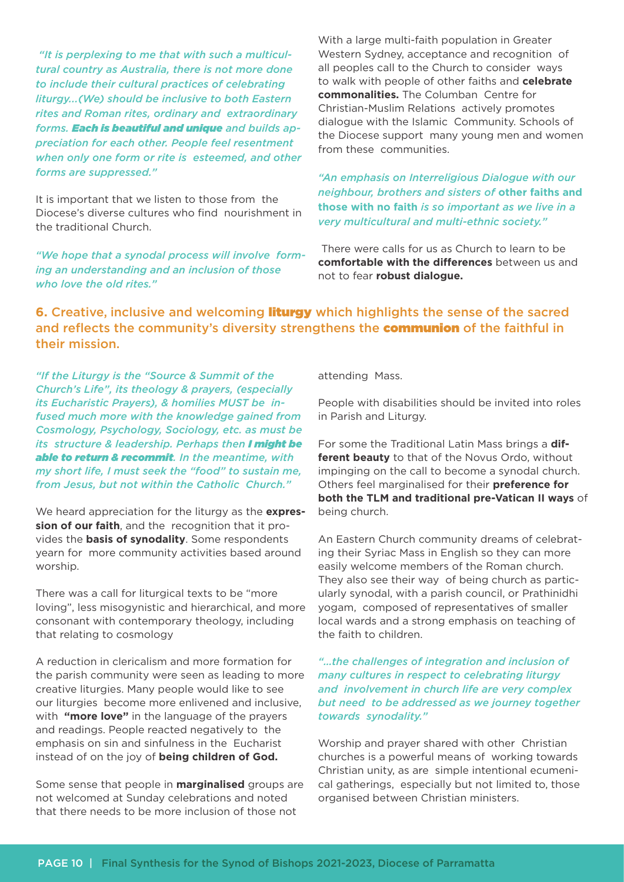*"It is perplexing to me that with such a multicultural country as Australia, there is not more done to include their cultural practices of celebrating liturgy...(We) should be inclusive to both Eastern rites and Roman rites, ordinary and extraordinary forms. Each is beautiful and unique and builds appreciation for each other. People feel resentment when only one form or rite is esteemed, and other forms are suppressed."* 

It is important that we listen to those from the Diocese's diverse cultures who find nourishment in the traditional Church.

*"We hope that a synodal process will involve forming an understanding and an inclusion of those who love the old rites."* 

With a large multi-faith population in Greater Western Sydney, acceptance and recognition of all peoples call to the Church to consider ways to walk with people of other faiths and **celebrate commonalities.** The Columban Centre for Christian-Muslim Relations actively promotes dialogue with the Islamic Community. Schools of the Diocese support many young men and women from these communities.

*"An emphasis on Interreligious Dialogue with our neighbour, brothers and sisters of* **other faiths and those with no faith** *is so important as we live in a very multicultural and multi-ethnic society."* 

 There were calls for us as Church to learn to be **comfortable with the differences** between us and not to fear **robust dialogue.**

**6.** Creative, inclusive and welcoming liturgy which highlights the sense of the sacred and reflects the community's diversity strengthens the **communion** of the faithful in their mission.

*"If the Liturgy is the "Source & Summit of the Church's Life", its theology & prayers, (especially its Eucharistic Prayers), & homilies MUST be infused much more with the knowledge gained from Cosmology, Psychology, Sociology, etc. as must be its structure & leadership. Perhaps then I might be able to return & recommit. In the meantime, with my short life, I must seek the "food" to sustain me, from Jesus, but not within the Catholic Church."*

We heard appreciation for the liturgy as the **expression of our faith**, and the recognition that it provides the **basis of synodality**. Some respondents yearn for more community activities based around worship.

There was a call for liturgical texts to be "more loving", less misogynistic and hierarchical, and more consonant with contemporary theology, including that relating to cosmology

A reduction in clericalism and more formation for the parish community were seen as leading to more creative liturgies. Many people would like to see our liturgies become more enlivened and inclusive, with **"more love"** in the language of the prayers and readings. People reacted negatively to the emphasis on sin and sinfulness in the Eucharist instead of on the joy of **being children of God.**

Some sense that people in **marginalised** groups are not welcomed at Sunday celebrations and noted that there needs to be more inclusion of those not

attending Mass.

People with disabilities should be invited into roles in Parish and Liturgy.

For some the Traditional Latin Mass brings a **different beauty** to that of the Novus Ordo, without impinging on the call to become a synodal church. Others feel marginalised for their **preference for both the TLM and traditional pre-Vatican II ways** of being church.

An Eastern Church community dreams of celebrating their Syriac Mass in English so they can more easily welcome members of the Roman church. They also see their way of being church as particularly synodal, with a parish council, or Prathinidhi yogam, composed of representatives of smaller local wards and a strong emphasis on teaching of the faith to children.

#### *"…the challenges of integration and inclusion of many cultures in respect to celebrating liturgy and involvement in church life are very complex but need to be addressed as we journey together towards synodality."*

Worship and prayer shared with other Christian churches is a powerful means of working towards Christian unity, as are simple intentional ecumenical gatherings, especially but not limited to, those organised between Christian ministers.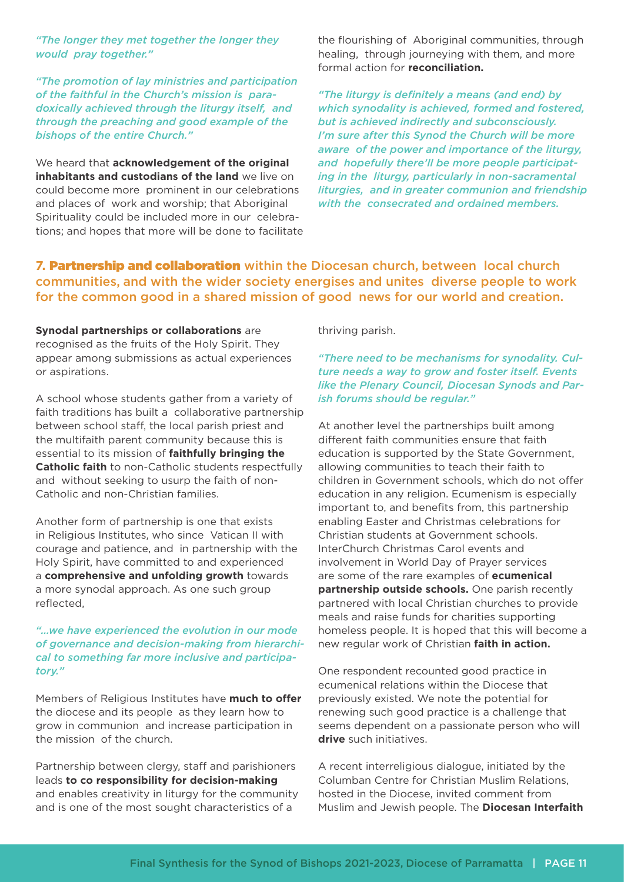*"The longer they met together the longer they would pray together."* 

*"The promotion of lay ministries and participation of the faithful in the Church's mission is paradoxically achieved through the liturgy itself, and through the preaching and good example of the bishops of the entire Church."* 

We heard that **acknowledgement of the original inhabitants and custodians of the land** we live on could become more prominent in our celebrations and places of work and worship; that Aboriginal Spirituality could be included more in our celebrations; and hopes that more will be done to facilitate the flourishing of Aboriginal communities, through healing, through journeying with them, and more formal action for **reconciliation.**

*"The liturgy is definitely a means (and end) by which synodality is achieved, formed and fostered, but is achieved indirectly and subconsciously. I'm sure after this Synod the Church will be more aware of the power and importance of the liturgy, and hopefully there'll be more people participating in the liturgy, particularly in non-sacramental liturgies, and in greater communion and friendship with the consecrated and ordained members.* 

**7.** Partnership and collaboration within the Diocesan church, between local church communities, and with the wider society energises and unites diverse people to work for the common good in a shared mission of good news for our world and creation.

**Synodal partnerships or collaborations** are recognised as the fruits of the Holy Spirit. They appear among submissions as actual experiences or aspirations.

A school whose students gather from a variety of faith traditions has built a collaborative partnership between school staff, the local parish priest and the multifaith parent community because this is essential to its mission of **faithfully bringing the Catholic faith** to non-Catholic students respectfully and without seeking to usurp the faith of non-Catholic and non-Christian families.

Another form of partnership is one that exists in Religious Institutes, who since Vatican II with courage and patience, and in partnership with the Holy Spirit, have committed to and experienced a **comprehensive and unfolding growth** towards a more synodal approach. As one such group reflected,

*"…we have experienced the evolution in our mode of governance and decision-making from hierarchical to something far more inclusive and participatory."* 

Members of Religious Institutes have **much to offer** the diocese and its people as they learn how to grow in communion and increase participation in the mission of the church.

Partnership between clergy, staff and parishioners leads **to co responsibility for decision-making** and enables creativity in liturgy for the community and is one of the most sought characteristics of a

thriving parish.

#### *"There need to be mechanisms for synodality. Culture needs a way to grow and foster itself. Events like the Plenary Council, Diocesan Synods and Parish forums should be regular."*

At another level the partnerships built among different faith communities ensure that faith education is supported by the State Government, allowing communities to teach their faith to children in Government schools, which do not offer education in any religion. Ecumenism is especially important to, and benefits from, this partnership enabling Easter and Christmas celebrations for Christian students at Government schools. InterChurch Christmas Carol events and involvement in World Day of Prayer services are some of the rare examples of **ecumenical partnership outside schools.** One parish recently partnered with local Christian churches to provide meals and raise funds for charities supporting homeless people. It is hoped that this will become a new regular work of Christian **faith in action.**

One respondent recounted good practice in ecumenical relations within the Diocese that previously existed. We note the potential for renewing such good practice is a challenge that seems dependent on a passionate person who will **drive** such initiatives.

A recent interreligious dialogue, initiated by the Columban Centre for Christian Muslim Relations, hosted in the Diocese, invited comment from Muslim and Jewish people. The **Diocesan Interfaith**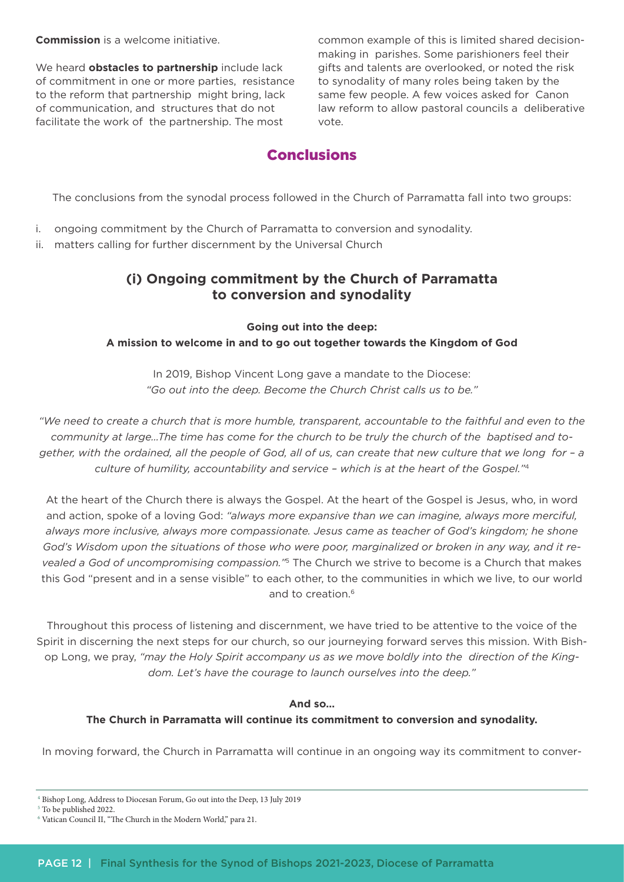**Commission** is a welcome initiative.

We heard **obstacles to partnership** include lack of commitment in one or more parties, resistance to the reform that partnership might bring, lack of communication, and structures that do not facilitate the work of the partnership. The most

common example of this is limited shared decisionmaking in parishes. Some parishioners feel their gifts and talents are overlooked, or noted the risk to synodality of many roles being taken by the same few people. A few voices asked for Canon law reform to allow pastoral councils a deliberative vote.

# **Conclusions**

The conclusions from the synodal process followed in the Church of Parramatta fall into two groups:

- i. ongoing commitment by the Church of Parramatta to conversion and synodality.
- ii. matters calling for further discernment by the Universal Church

# **(i) Ongoing commitment by the Church of Parramatta to conversion and synodality**

**Going out into the deep: A mission to welcome in and to go out together towards the Kingdom of God**

In 2019, Bishop Vincent Long gave a mandate to the Diocese: *"Go out into the deep. Become the Church Christ calls us to be."*

*"We need to create a church that is more humble, transparent, accountable to the faithful and even to the community at large…The time has come for the church to be truly the church of the baptised and together, with the ordained, all the people of God, all of us, can create that new culture that we long for – a culture of humility, accountability and service – which is at the heart of the Gospel."*<sup>4</sup>

At the heart of the Church there is always the Gospel. At the heart of the Gospel is Jesus, who, in word and action, spoke of a loving God: *"always more expansive than we can imagine, always more merciful, always more inclusive, always more compassionate. Jesus came as teacher of God's kingdom; he shone God's Wisdom upon the situations of those who were poor, marginalized or broken in any way, and it revealed a God of uncompromising compassion."*5 The Church we strive to become is a Church that makes this God "present and in a sense visible" to each other, to the communities in which we live, to our world and to creation.6

Throughout this process of listening and discernment, we have tried to be attentive to the voice of the Spirit in discerning the next steps for our church, so our journeying forward serves this mission. With Bishop Long, we pray, *"may the Holy Spirit accompany us as we move boldly into the direction of the Kingdom. Let's have the courage to launch ourselves into the deep."*

#### **And so…**

#### **The Church in Parramatta will continue its commitment to conversion and synodality.**

In moving forward, the Church in Parramatta will continue in an ongoing way its commitment to conver-

<sup>4</sup> Bishop Long, Address to Diocesan Forum, Go out into the Deep, 13 July 2019

<sup>5</sup> To be published 2022.

<sup>6</sup> Vatican Council II, "The Church in the Modern World," para 21.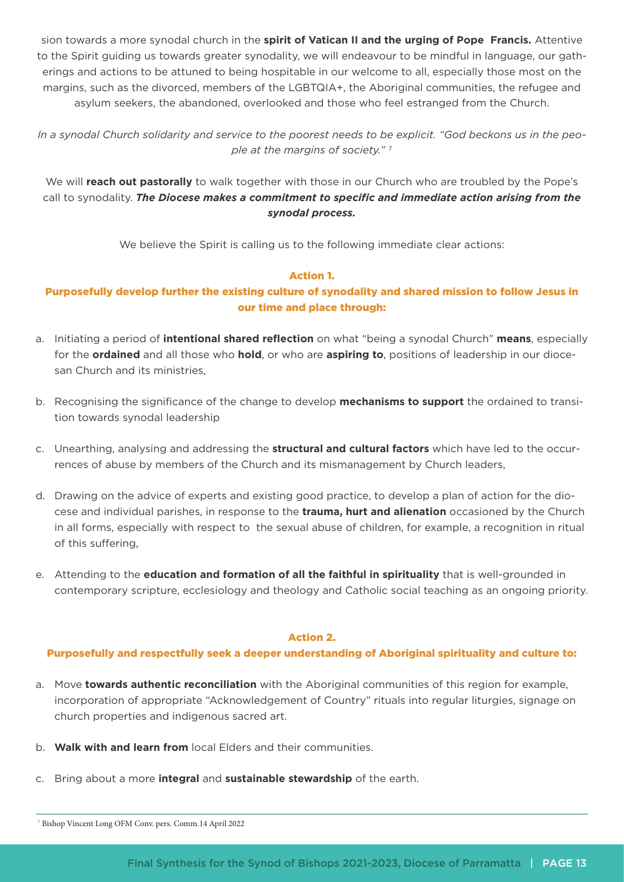sion towards a more synodal church in the **spirit of Vatican II and the urging of Pope Francis.** Attentive to the Spirit guiding us towards greater synodality, we will endeavour to be mindful in language, our gatherings and actions to be attuned to being hospitable in our welcome to all, especially those most on the margins, such as the divorced, members of the LGBTQIA+, the Aboriginal communities, the refugee and asylum seekers, the abandoned, overlooked and those who feel estranged from the Church.

*In a synodal Church solidarity and service to the poorest needs to be explicit. "God beckons us in the people at the margins of society."* <sup>7</sup>

We will **reach out pastorally** to walk together with those in our Church who are troubled by the Pope's call to synodality. *The Diocese makes a commitment to specific and immediate action arising from the synodal process.*

We believe the Spirit is calling us to the following immediate clear actions:

#### Action 1.

#### Purposefully develop further the existing culture of synodality and shared mission to follow Jesus in our time and place through:

- a. Initiating a period of **intentional shared reflection** on what "being a synodal Church" **means**, especially for the **ordained** and all those who **hold**, or who are **aspiring to**, positions of leadership in our diocesan Church and its ministries,
- b. Recognising the significance of the change to develop **mechanisms to support** the ordained to transition towards synodal leadership
- c. Unearthing, analysing and addressing the **structural and cultural factors** which have led to the occurrences of abuse by members of the Church and its mismanagement by Church leaders,
- d. Drawing on the advice of experts and existing good practice, to develop a plan of action for the diocese and individual parishes, in response to the **trauma, hurt and alienation** occasioned by the Church in all forms, especially with respect to the sexual abuse of children, for example, a recognition in ritual of this suffering,
- e. Attending to the **education and formation of all the faithful in spirituality** that is well-grounded in contemporary scripture, ecclesiology and theology and Catholic social teaching as an ongoing priority.

#### Action 2.

#### Purposefully and respectfully seek a deeper understanding of Aboriginal spirituality and culture to:

- a. Move **towards authentic reconciliation** with the Aboriginal communities of this region for example, incorporation of appropriate "Acknowledgement of Country" rituals into regular liturgies, signage on church properties and indigenous sacred art.
- b. **Walk with and learn from** local Elders and their communities.
- c. Bring about a more **integral** and **sustainable stewardship** of the earth.

<sup>7</sup> Bishop Vincent Long OFM Conv. pers. Comm.14 April 2022